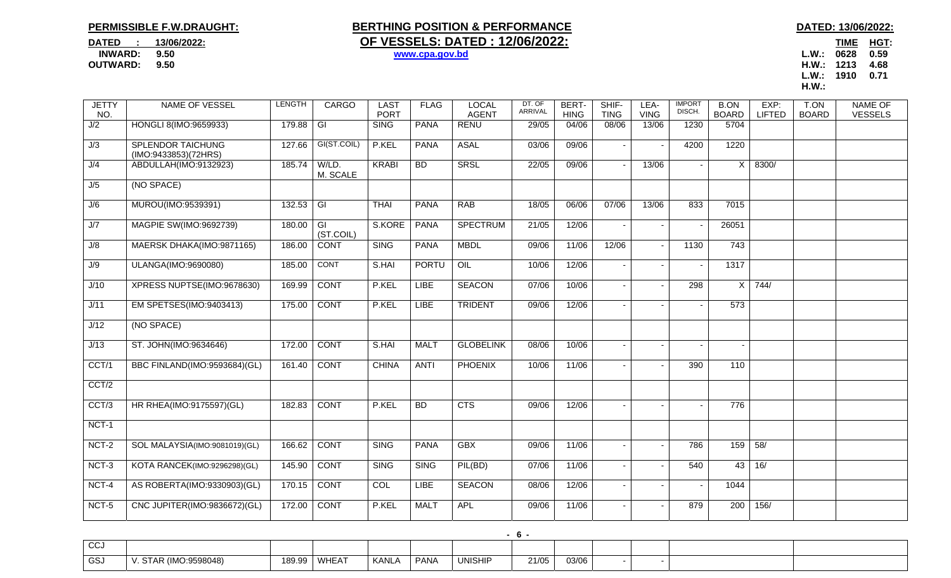## **PERMISSIBLE F.W.DRAUGHT:**

## **BERTHING POSITION & PERFORMANCE BERTHING POSITION & PERFORMANCE DATED** : 13/06/2022: **OF VESSELS: DATED : 12/06/2022:**

TIME HGT: **OUTWARD: 9.50 H.W.: 1213 4.68 L.W.: 1910 0.71 H.W.:**  $H.W.:$ 

| <b>JETTY</b><br>NO. | NAME OF VESSEL                | <b>LENGTH</b> | <b>CARGO</b>            | <b>LAST</b><br><b>PORT</b> | <b>FLAG</b>  | <b>LOCAL</b><br><b>AGENT</b> | DT. OF<br><b>ARRIVAL</b> | BERT-<br><b>HING</b> | SHIF-<br><b>TING</b> | LEA-<br><b>VING</b>      | <b>IMPORT</b><br>DISCH. | <b>B.ON</b><br><b>BOARD</b> | EXP:<br><b>LIFTED</b> | T.ON<br><b>BOARD</b> | <b>NAME OF</b><br><b>VESSELS</b> |
|---------------------|-------------------------------|---------------|-------------------------|----------------------------|--------------|------------------------------|--------------------------|----------------------|----------------------|--------------------------|-------------------------|-----------------------------|-----------------------|----------------------|----------------------------------|
| J/2                 | HONGLI 8(IMO:9659933)         | 179.88        | $\overline{\mathsf{G}}$ | <b>SING</b>                | <b>PANA</b>  | <b>RENU</b>                  | 29/05                    | 04/06                | 08/06                | 13/06                    | 1230                    | 5704                        |                       |                      |                                  |
|                     | <b>SPLENDOR TAICHUNG</b>      |               | GI(ST.COIL)             | P.KEL                      | <b>PANA</b>  | <b>ASAL</b>                  |                          | 09/06                |                      |                          |                         | 1220                        |                       |                      |                                  |
| J/3                 | (IMO:9433853)(72HRS)          | 127.66        |                         |                            |              |                              | 03/06                    |                      |                      | $\overline{\phantom{a}}$ | 4200                    |                             |                       |                      |                                  |
| J/4                 | ABDULLAH(IMO:9132923)         | 185.74        | W/LD.<br>M. SCALE       | <b>KRABI</b>               | BD.          | SRSL                         | 22/05                    | 09/06                |                      | 13/06                    |                         | $\mathsf{X}$                | 8300/                 |                      |                                  |
| J/5                 | (NO SPACE)                    |               |                         |                            |              |                              |                          |                      |                      |                          |                         |                             |                       |                      |                                  |
| J/6                 | MUROU(IMO:9539391)            | 132.53        | $\overline{\mathsf{G}}$ | <b>THAI</b>                | <b>PANA</b>  | <b>RAB</b>                   | 18/05                    | 06/06                | 07/06                | 13/06                    | 833                     | 7015                        |                       |                      |                                  |
| J/7                 | MAGPIE SW(IMO:9692739)        | 180.00        | GI<br>(ST.COIL)         | S.KORE                     | PANA         | <b>SPECTRUM</b>              | 21/05                    | 12/06                |                      | $\blacksquare$           |                         | 26051                       |                       |                      |                                  |
| J/8                 | MAERSK DHAKA(IMO:9871165)     | 186.00        | <b>CONT</b>             | <b>SING</b>                | <b>PANA</b>  | <b>MBDL</b>                  | 09/06                    | 11/06                | 12/06                | $\sim$                   | 1130                    | 743                         |                       |                      |                                  |
| J/9                 | <b>ULANGA(IMO:9690080)</b>    | 185.00        | <b>CONT</b>             | S.HAI                      | <b>PORTU</b> | OIL                          | 10/06                    | 12/06                |                      | $\blacksquare$           |                         | 1317                        |                       |                      |                                  |
| J/10                | XPRESS NUPTSE(IMO:9678630)    | 169.99        | <b>CONT</b>             | P.KEL                      | <b>LIBE</b>  | <b>SEACON</b>                | 07/06                    | 10/06                |                      | $\overline{\phantom{a}}$ | 298                     | $\times$                    | 744/                  |                      |                                  |
| J/11                | EM SPETSES(IMO:9403413)       | 175.00        | <b>CONT</b>             | P.KEL                      | <b>LIBE</b>  | <b>TRIDENT</b>               | 09/06                    | 12/06                |                      |                          |                         | 573                         |                       |                      |                                  |
| J/12                | (NO SPACE)                    |               |                         |                            |              |                              |                          |                      |                      |                          |                         |                             |                       |                      |                                  |
| J/13                | ST. JOHN(IMO:9634646)         | 172.00        | <b>CONT</b>             | S.HAI                      | <b>MALT</b>  | <b>GLOBELINK</b>             | 08/06                    | 10/06                |                      | $\overline{\phantom{a}}$ |                         |                             |                       |                      |                                  |
| CCT/1               | BBC FINLAND(IMO:9593684)(GL)  | 161.40        | <b>CONT</b>             | <b>CHINA</b>               | <b>ANTI</b>  | <b>PHOENIX</b>               | 10/06                    | 11/06                |                      | $\sim$                   | 390                     | 110                         |                       |                      |                                  |
| CCT/2               |                               |               |                         |                            |              |                              |                          |                      |                      |                          |                         |                             |                       |                      |                                  |
| CCT/3               | HR RHEA(IMO:9175597)(GL)      | 182.83        | <b>CONT</b>             | P.KEL                      | <b>BD</b>    | CTS                          | 09/06                    | 12/06                |                      |                          |                         | 776                         |                       |                      |                                  |
| NCT-1               |                               |               |                         |                            |              |                              |                          |                      |                      |                          |                         |                             |                       |                      |                                  |
| $NCT-2$             | SOL MALAYSIA(IMO:9081019)(GL) | 166.62        | <b>CONT</b>             | <b>SING</b>                | <b>PANA</b>  | <b>GBX</b>                   | 09/06                    | 11/06                |                      | $\overline{\phantom{a}}$ | 786                     | 159                         | 58/                   |                      |                                  |
| $NCT-3$             | KOTA RANCEK(IMO:9296298)(GL)  | 145.90        | <b>CONT</b>             | <b>SING</b>                | <b>SING</b>  | PIL(BD)                      | 07/06                    | 11/06                |                      | $\blacksquare$           | 540                     | 43                          | 16/                   |                      |                                  |
| NCT-4               | AS ROBERTA(IMO:9330903)(GL)   | 170.15        | <b>CONT</b>             | COL                        | <b>LIBE</b>  | <b>SEACON</b>                | 08/06                    | 12/06                |                      |                          |                         | 1044                        |                       |                      |                                  |
| NCT-5               | CNC JUPITER(IMO:9836672)(GL)  | 172.00        | <b>CONT</b>             | P.KEL                      | <b>MALT</b>  | <b>APL</b>                   | 09/06                    | 11/06                |                      | $\overline{\phantom{a}}$ | 879                     | $\overline{200}$            | 156/                  |                      |                                  |

|              | .                           |       |       |       |                  |                |       |       |  |  |  |  |  |
|--------------|-----------------------------|-------|-------|-------|------------------|----------------|-------|-------|--|--|--|--|--|
| $\sim$<br>ww |                             |       |       |       |                  |                |       |       |  |  |  |  |  |
| GS.          | :9598048)<br>$\cdot$ (IMC). | 189.9 | WHEAT | KANL, | PAN <sub>/</sub> | <b>UNISHIP</b> | 21/05 | 03/06 |  |  |  |  |  |

**- 6 -** 

 **INWARD: 9.50 www.cpa.gov.bd L.W.: 0628 0.59**